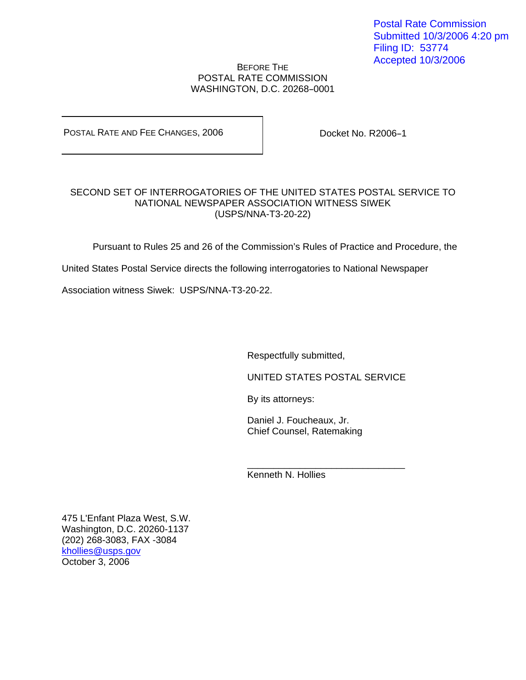## BEFORE THE POSTAL RATE COMMISSION WASHINGTON, D.C. 20268-0001

POSTAL RATE AND FEE CHANGES, 2006

Docket No. R2006-1

## SECOND SET OF INTERROGATORIES OF THE UNITED STATES POSTAL SERVICE TO NATIONAL NEWSPAPER ASSOCIATION WITNESS SIWEK (USPS/NNA-T3-20-22)

Pursuant to Rules 25 and 26 of the Commission's Rules of Practice and Procedure, the

United States Postal Service directs the following interrogatories to National Newspaper

 $\frac{1}{\sqrt{2\pi}}$  , which is a set of the set of the set of the set of the set of the set of the set of the set of the set of the set of the set of the set of the set of the set of the set of the set of the set of the set of

Association witness Siwek: USPS/NNA-T3-20-22.

Respectfully submitted,

UNITED STATES POSTAL SERVICE

By its attorneys:

Daniel J. Foucheaux, Jr. Chief Counsel, Ratemaking

Kenneth N. Hollies

475 L'Enfant Plaza West, S.W. Washington, D.C. 20260-1137 (202) 268-3083, FAX -3084 khollies@usps.gov October 3, 2006